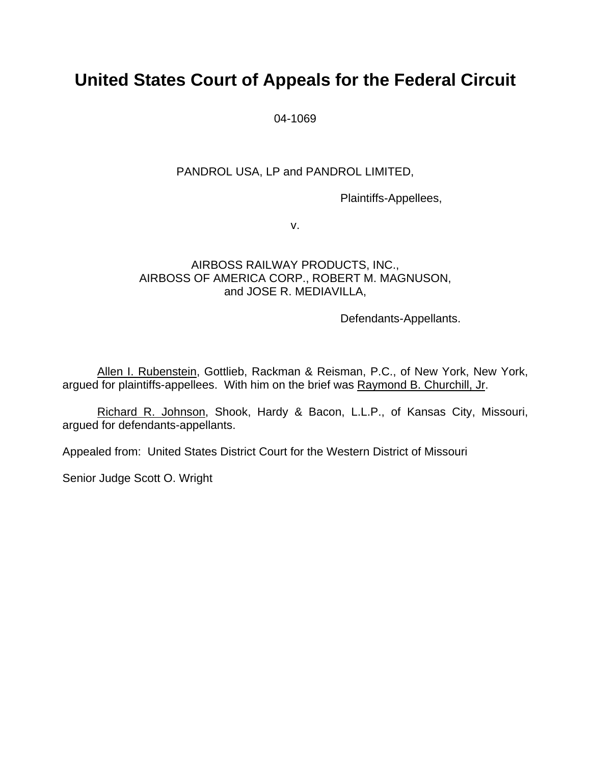# **United States Court of Appeals for the Federal Circuit**

04-1069

# PANDROL USA, LP and PANDROL LIMITED,

Plaintiffs-Appellees,

v.

# AIRBOSS RAILWAY PRODUCTS, INC., AIRBOSS OF AMERICA CORP., ROBERT M. MAGNUSON, and JOSE R. MEDIAVILLA,

Defendants-Appellants.

Allen I. Rubenstein, Gottlieb, Rackman & Reisman, P.C., of New York, New York, argued for plaintiffs-appellees. With him on the brief was Raymond B. Churchill, Jr.

Richard R. Johnson, Shook, Hardy & Bacon, L.L.P., of Kansas City, Missouri, argued for defendants-appellants.

Appealed from: United States District Court for the Western District of Missouri

Senior Judge Scott O. Wright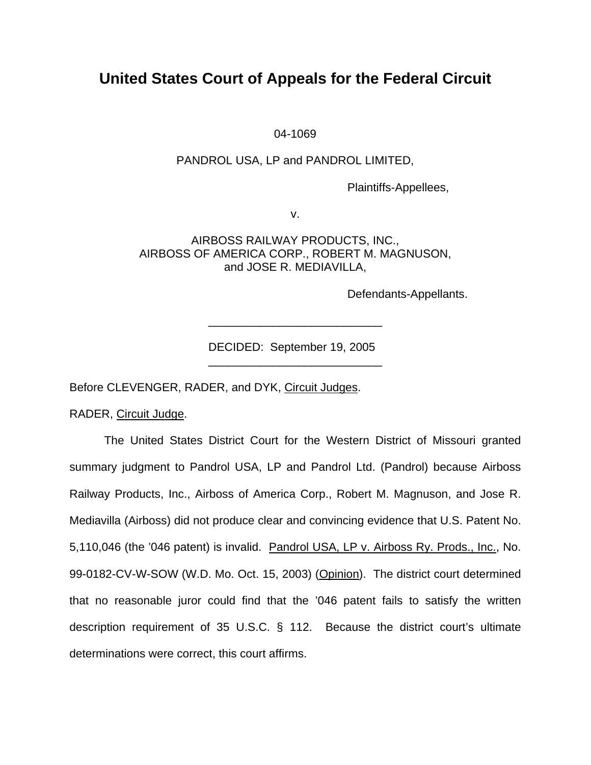# **United States Court of Appeals for the Federal Circuit**

04-1069

#### PANDROL USA, LP and PANDROL LIMITED,

Plaintiffs-Appellees,

v.

## AIRBOSS RAILWAY PRODUCTS, INC., AIRBOSS OF AMERICA CORP., ROBERT M. MAGNUSON, and JOSE R. MEDIAVILLA,

Defendants-Appellants.

 DECIDED: September 19, 2005 \_\_\_\_\_\_\_\_\_\_\_\_\_\_\_\_\_\_\_\_\_\_\_\_\_\_\_

\_\_\_\_\_\_\_\_\_\_\_\_\_\_\_\_\_\_\_\_\_\_\_\_\_\_\_

Before CLEVENGER, RADER, and DYK, Circuit Judges.

RADER, Circuit Judge.

 The United States District Court for the Western District of Missouri granted summary judgment to Pandrol USA, LP and Pandrol Ltd. (Pandrol) because Airboss Railway Products, Inc., Airboss of America Corp., Robert M. Magnuson, and Jose R. Mediavilla (Airboss) did not produce clear and convincing evidence that U.S. Patent No. 5,110,046 (the '046 patent) is invalid. Pandrol USA, LP v. Airboss Ry. Prods., Inc., No. 99-0182-CV-W-SOW (W.D. Mo. Oct. 15, 2003) (Opinion). The district court determined that no reasonable juror could find that the '046 patent fails to satisfy the written description requirement of 35 U.S.C. § 112. Because the district court's ultimate determinations were correct, this court affirms.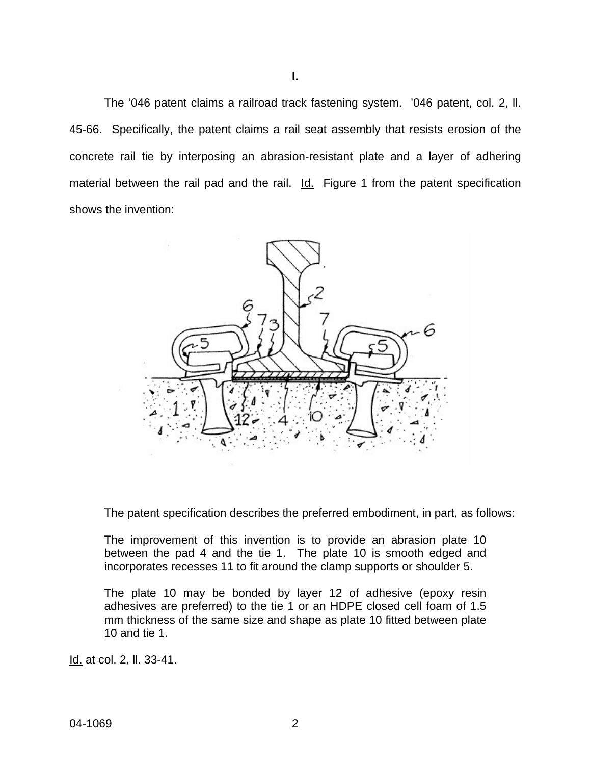The '046 patent claims a railroad track fastening system. '046 patent, col. 2, ll. 45-66. Specifically, the patent claims a rail seat assembly that resists erosion of the concrete rail tie by interposing an abrasion-resistant plate and a layer of adhering material between the rail pad and the rail. Id. Figure 1 from the patent specification shows the invention:



The patent specification describes the preferred embodiment, in part, as follows:

The improvement of this invention is to provide an abrasion plate 10 between the pad 4 and the tie 1. The plate 10 is smooth edged and incorporates recesses 11 to fit around the clamp supports or shoulder 5.

The plate 10 may be bonded by layer 12 of adhesive (epoxy resin adhesives are preferred) to the tie 1 or an HDPE closed cell foam of 1.5 mm thickness of the same size and shape as plate 10 fitted between plate 10 and tie 1.

Id. at col. 2, ll. 33-41.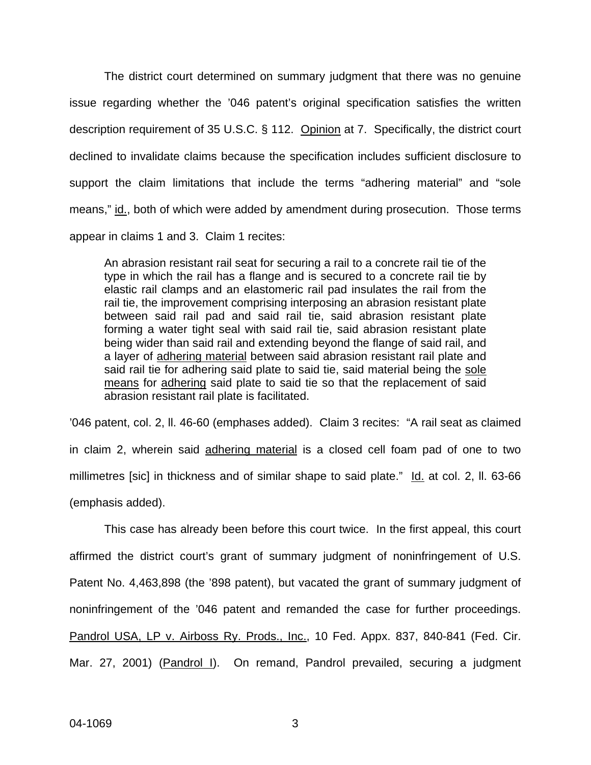The district court determined on summary judgment that there was no genuine issue regarding whether the '046 patent's original specification satisfies the written description requirement of 35 U.S.C. § 112. Opinion at 7. Specifically, the district court declined to invalidate claims because the specification includes sufficient disclosure to support the claim limitations that include the terms "adhering material" and "sole means," id., both of which were added by amendment during prosecution. Those terms appear in claims 1 and 3. Claim 1 recites:

An abrasion resistant rail seat for securing a rail to a concrete rail tie of the type in which the rail has a flange and is secured to a concrete rail tie by elastic rail clamps and an elastomeric rail pad insulates the rail from the rail tie, the improvement comprising interposing an abrasion resistant plate between said rail pad and said rail tie, said abrasion resistant plate forming a water tight seal with said rail tie, said abrasion resistant plate being wider than said rail and extending beyond the flange of said rail, and a layer of adhering material between said abrasion resistant rail plate and said rail tie for adhering said plate to said tie, said material being the sole means for adhering said plate to said tie so that the replacement of said abrasion resistant rail plate is facilitated.

'046 patent, col. 2, ll. 46-60 (emphases added). Claim 3 recites: "A rail seat as claimed in claim 2, wherein said adhering material is a closed cell foam pad of one to two millimetres [sic] in thickness and of similar shape to said plate." Id. at col. 2, II. 63-66 (emphasis added).

This case has already been before this court twice. In the first appeal, this court affirmed the district court's grant of summary judgment of noninfringement of U.S. Patent No. 4,463,898 (the '898 patent), but vacated the grant of summary judgment of noninfringement of the '046 patent and remanded the case for further proceedings. Pandrol USA, LP v. Airboss Ry. Prods., Inc., 10 Fed. Appx. 837, 840-841 (Fed. Cir. Mar. 27, 2001) (Pandrol I). On remand, Pandrol prevailed, securing a judgment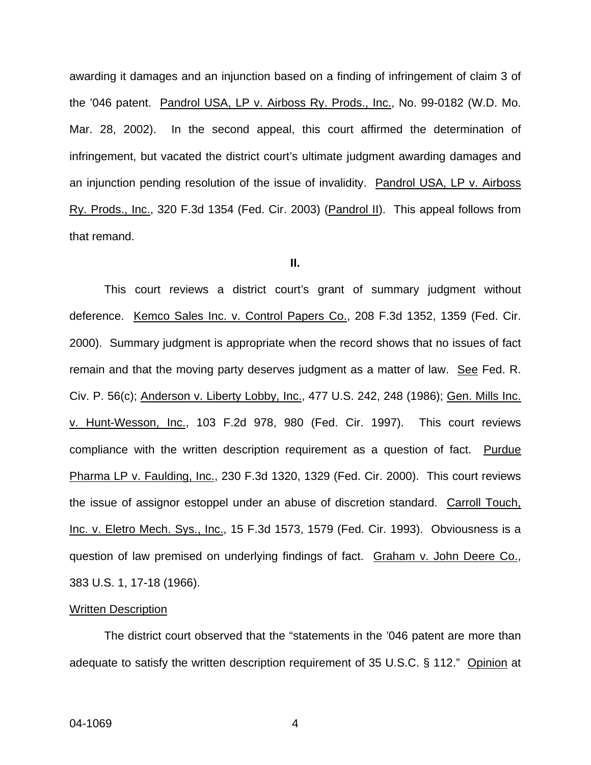awarding it damages and an injunction based on a finding of infringement of claim 3 of the '046 patent. Pandrol USA, LP v. Airboss Ry. Prods., Inc., No. 99-0182 (W.D. Mo. Mar. 28, 2002). In the second appeal, this court affirmed the determination of infringement, but vacated the district court's ultimate judgment awarding damages and an injunction pending resolution of the issue of invalidity. Pandrol USA, LP v. Airboss Ry. Prods., Inc., 320 F.3d 1354 (Fed. Cir. 2003) (Pandrol II). This appeal follows from that remand.

**II.** 

This court reviews a district court's grant of summary judgment without deference. Kemco Sales Inc. v. Control Papers Co., 208 F.3d 1352, 1359 (Fed. Cir. 2000). Summary judgment is appropriate when the record shows that no issues of fact remain and that the moving party deserves judgment as a matter of law. See Fed. R. Civ. P. 56(c); Anderson v. Liberty Lobby, Inc., 477 U.S. 242, 248 (1986); Gen. Mills Inc. v. Hunt-Wesson, Inc., 103 F.2d 978, 980 (Fed. Cir. 1997). This court reviews compliance with the written description requirement as a question of fact. Purdue Pharma LP v. Faulding, Inc., 230 F.3d 1320, 1329 (Fed. Cir. 2000). This court reviews the issue of assignor estoppel under an abuse of discretion standard. Carroll Touch, Inc. v. Eletro Mech. Sys., Inc., 15 F.3d 1573, 1579 (Fed. Cir. 1993). Obviousness is a question of law premised on underlying findings of fact. Graham v. John Deere Co., 383 U.S. 1, 17-18 (1966).

#### **Written Description**

The district court observed that the "statements in the '046 patent are more than adequate to satisfy the written description requirement of 35 U.S.C. § 112." Opinion at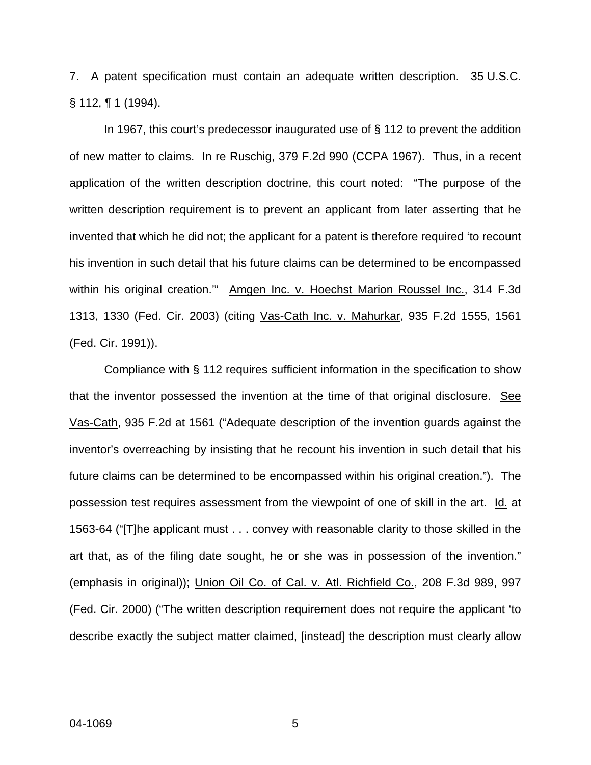7. A patent specification must contain an adequate written description. 35 U.S.C.  $\S$  112, ¶ 1 (1994).

In 1967, this court's predecessor inaugurated use of § 112 to prevent the addition of new matter to claims. In re Ruschig, 379 F.2d 990 (CCPA 1967). Thus, in a recent application of the written description doctrine, this court noted: "The purpose of the written description requirement is to prevent an applicant from later asserting that he invented that which he did not; the applicant for a patent is therefore required 'to recount his invention in such detail that his future claims can be determined to be encompassed within his original creation.'" Amgen Inc. v. Hoechst Marion Roussel Inc., 314 F.3d 1313, 1330 (Fed. Cir. 2003) (citing Vas-Cath Inc. v. Mahurkar, 935 F.2d 1555, 1561 (Fed. Cir. 1991)).

Compliance with § 112 requires sufficient information in the specification to show that the inventor possessed the invention at the time of that original disclosure. See Vas-Cath, 935 F.2d at 1561 ("Adequate description of the invention guards against the inventor's overreaching by insisting that he recount his invention in such detail that his future claims can be determined to be encompassed within his original creation."). The possession test requires assessment from the viewpoint of one of skill in the art. Id. at 1563-64 ("[T]he applicant must . . . convey with reasonable clarity to those skilled in the art that, as of the filing date sought, he or she was in possession of the invention." (emphasis in original)); Union Oil Co. of Cal. v. Atl. Richfield Co., 208 F.3d 989, 997 (Fed. Cir. 2000) ("The written description requirement does not require the applicant 'to describe exactly the subject matter claimed, [instead] the description must clearly allow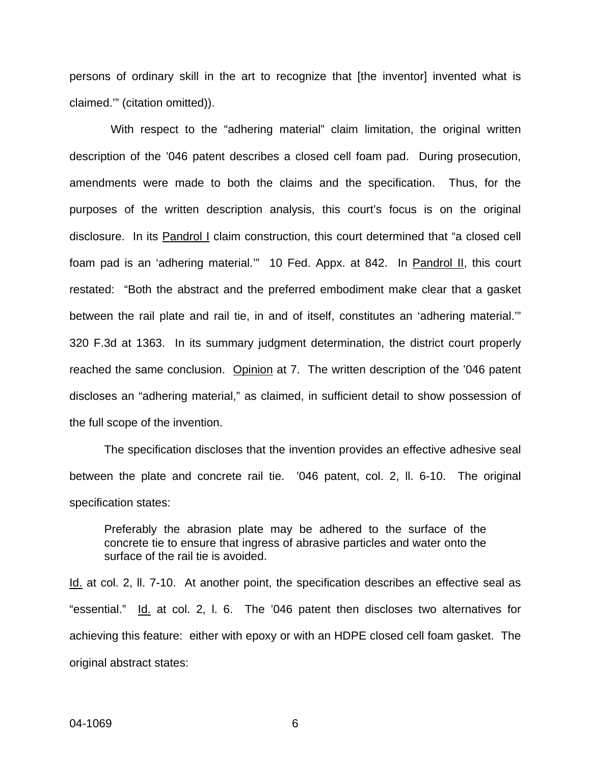persons of ordinary skill in the art to recognize that [the inventor] invented what is claimed.'" (citation omitted)).

With respect to the "adhering material" claim limitation, the original written description of the '046 patent describes a closed cell foam pad. During prosecution, amendments were made to both the claims and the specification. Thus, for the purposes of the written description analysis, this court's focus is on the original disclosure. In its Pandrol I claim construction, this court determined that "a closed cell foam pad is an 'adhering material.'" 10 Fed. Appx. at 842. In Pandrol II, this court restated: "Both the abstract and the preferred embodiment make clear that a gasket between the rail plate and rail tie, in and of itself, constitutes an 'adhering material.'" 320 F.3d at 1363. In its summary judgment determination, the district court properly reached the same conclusion. Opinion at 7. The written description of the '046 patent discloses an "adhering material," as claimed, in sufficient detail to show possession of the full scope of the invention.

The specification discloses that the invention provides an effective adhesive seal between the plate and concrete rail tie. '046 patent, col. 2, ll. 6-10. The original specification states:

Preferably the abrasion plate may be adhered to the surface of the concrete tie to ensure that ingress of abrasive particles and water onto the surface of the rail tie is avoided.

Id. at col. 2, II. 7-10. At another point, the specification describes an effective seal as "essential." Id. at col. 2, l. 6. The '046 patent then discloses two alternatives for achieving this feature: either with epoxy or with an HDPE closed cell foam gasket. The original abstract states: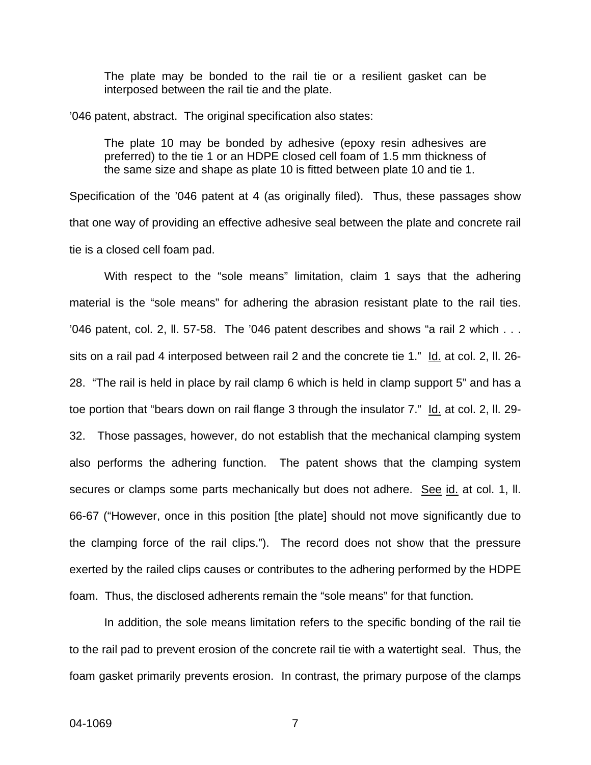The plate may be bonded to the rail tie or a resilient gasket can be interposed between the rail tie and the plate.

'046 patent, abstract. The original specification also states:

The plate 10 may be bonded by adhesive (epoxy resin adhesives are preferred) to the tie 1 or an HDPE closed cell foam of 1.5 mm thickness of the same size and shape as plate 10 is fitted between plate 10 and tie 1.

Specification of the '046 patent at 4 (as originally filed). Thus, these passages show that one way of providing an effective adhesive seal between the plate and concrete rail tie is a closed cell foam pad.

With respect to the "sole means" limitation, claim 1 says that the adhering material is the "sole means" for adhering the abrasion resistant plate to the rail ties. '046 patent, col. 2, ll. 57-58. The '046 patent describes and shows "a rail 2 which . . . sits on a rail pad 4 interposed between rail 2 and the concrete tie 1." Id. at col. 2, ll. 26- 28. "The rail is held in place by rail clamp 6 which is held in clamp support 5" and has a toe portion that "bears down on rail flange 3 through the insulator 7." Id. at col. 2, ll. 29- 32. Those passages, however, do not establish that the mechanical clamping system also performs the adhering function. The patent shows that the clamping system secures or clamps some parts mechanically but does not adhere. See id. at col. 1, II. 66-67 ("However, once in this position [the plate] should not move significantly due to the clamping force of the rail clips."). The record does not show that the pressure exerted by the railed clips causes or contributes to the adhering performed by the HDPE foam. Thus, the disclosed adherents remain the "sole means" for that function.

In addition, the sole means limitation refers to the specific bonding of the rail tie to the rail pad to prevent erosion of the concrete rail tie with a watertight seal. Thus, the foam gasket primarily prevents erosion. In contrast, the primary purpose of the clamps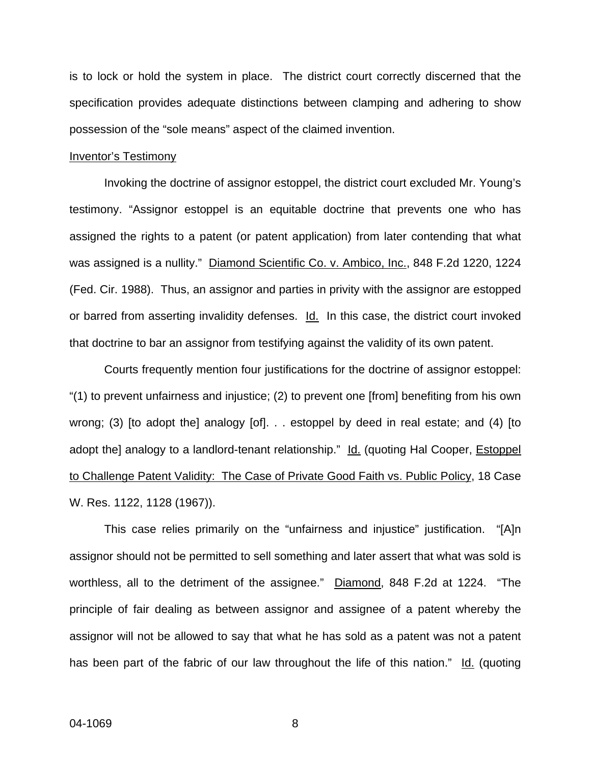is to lock or hold the system in place. The district court correctly discerned that the specification provides adequate distinctions between clamping and adhering to show possession of the "sole means" aspect of the claimed invention.

#### Inventor's Testimony

Invoking the doctrine of assignor estoppel, the district court excluded Mr. Young's testimony. "Assignor estoppel is an equitable doctrine that prevents one who has assigned the rights to a patent (or patent application) from later contending that what was assigned is a nullity." Diamond Scientific Co. v. Ambico, Inc., 848 F.2d 1220, 1224 (Fed. Cir. 1988). Thus, an assignor and parties in privity with the assignor are estopped or barred from asserting invalidity defenses. Id. In this case, the district court invoked that doctrine to bar an assignor from testifying against the validity of its own patent.

Courts frequently mention four justifications for the doctrine of assignor estoppel: "(1) to prevent unfairness and injustice; (2) to prevent one [from] benefiting from his own wrong; (3) [to adopt the] analogy [of]. . . estoppel by deed in real estate; and (4) [to adopt the] analogy to a landlord-tenant relationship." Id. (quoting Hal Cooper, *Estoppel* to Challenge Patent Validity: The Case of Private Good Faith vs. Public Policy, 18 Case W. Res. 1122, 1128 (1967)).

This case relies primarily on the "unfairness and injustice" justification. "[A]n assignor should not be permitted to sell something and later assert that what was sold is worthless, all to the detriment of the assignee." Diamond, 848 F.2d at 1224. "The principle of fair dealing as between assignor and assignee of a patent whereby the assignor will not be allowed to say that what he has sold as a patent was not a patent has been part of the fabric of our law throughout the life of this nation." Id. (quoting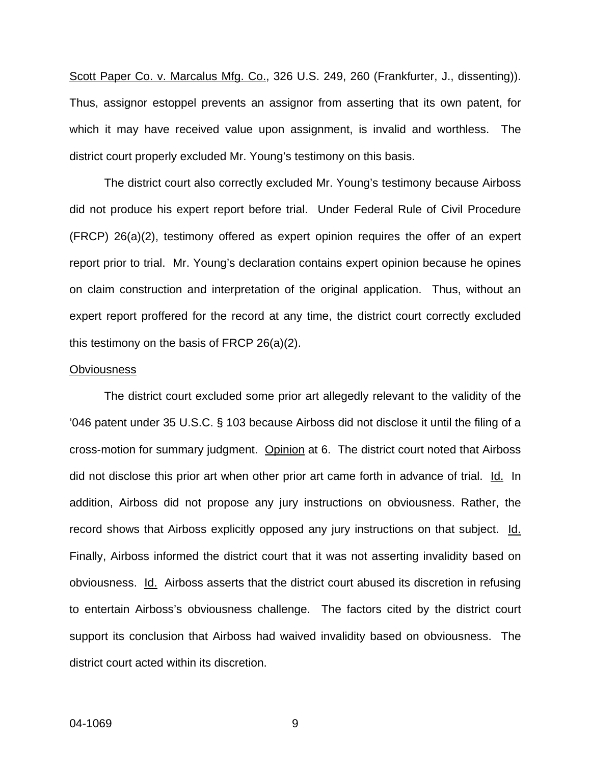Scott Paper Co. v. Marcalus Mfg. Co., 326 U.S. 249, 260 (Frankfurter, J., dissenting)). Thus, assignor estoppel prevents an assignor from asserting that its own patent, for which it may have received value upon assignment, is invalid and worthless. The district court properly excluded Mr. Young's testimony on this basis.

The district court also correctly excluded Mr. Young's testimony because Airboss did not produce his expert report before trial. Under Federal Rule of Civil Procedure (FRCP) 26(a)(2), testimony offered as expert opinion requires the offer of an expert report prior to trial. Mr. Young's declaration contains expert opinion because he opines on claim construction and interpretation of the original application. Thus, without an expert report proffered for the record at any time, the district court correctly excluded this testimony on the basis of FRCP 26(a)(2).

#### **Obviousness**

The district court excluded some prior art allegedly relevant to the validity of the '046 patent under 35 U.S.C. § 103 because Airboss did not disclose it until the filing of a cross-motion for summary judgment. Opinion at 6. The district court noted that Airboss did not disclose this prior art when other prior art came forth in advance of trial. Id. In addition, Airboss did not propose any jury instructions on obviousness. Rather, the record shows that Airboss explicitly opposed any jury instructions on that subject. Id. Finally, Airboss informed the district court that it was not asserting invalidity based on obviousness. Id. Airboss asserts that the district court abused its discretion in refusing to entertain Airboss's obviousness challenge. The factors cited by the district court support its conclusion that Airboss had waived invalidity based on obviousness. The district court acted within its discretion.